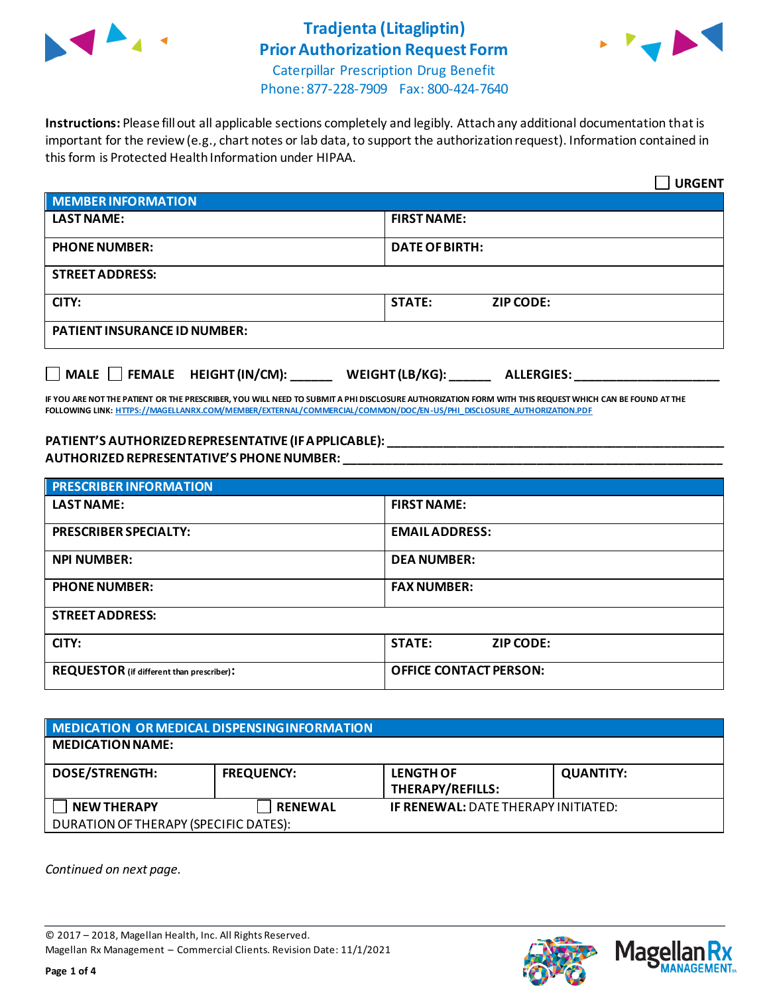

## **Tradjenta (Litagliptin) Prior Authorization Request Form**



Caterpillar Prescription Drug Benefit Phone: 877-228-7909 Fax: 800-424-7640

**Instructions:** Please fill out all applicable sections completely and legibly. Attach any additional documentation that is important for the review (e.g., chart notes or lab data, to support the authorization request). Information contained in this form is Protected Health Information under HIPAA.

|                                           | <b>URGENT</b>                        |  |  |
|-------------------------------------------|--------------------------------------|--|--|
| <b>MEMBER INFORMATION</b>                 |                                      |  |  |
| <b>LAST NAME:</b>                         | <b>FIRST NAME:</b>                   |  |  |
| <b>PHONE NUMBER:</b>                      | <b>DATE OF BIRTH:</b>                |  |  |
| <b>STREET ADDRESS:</b>                    |                                      |  |  |
| CITY:                                     | <b>STATE:</b><br><b>ZIP CODE:</b>    |  |  |
| <b>PATIENT INSURANCE ID NUMBER:</b>       |                                      |  |  |
| $\Box$ MALE $\Box$ FEMALE HEIGHT (IN/CM): | WEIGHT (LB/KG):<br><b>ALLERGIES:</b> |  |  |

**IF YOU ARE NOT THE PATIENT OR THE PRESCRIBER, YOU WILL NEED TO SUBMIT A PHI DISCLOSURE AUTHORIZATION FORM WITH THIS REQUEST WHICH CAN BE FOUND AT THE FOLLOWING LINK[: HTTPS://MAGELLANRX.COM/MEMBER/EXTERNAL/COMMERCIAL/COMMON/DOC/EN-US/PHI\\_DISCLOSURE\\_AUTHORIZATION.PDF](https://magellanrx.com/member/external/commercial/common/doc/en-us/PHI_Disclosure_Authorization.pdf)**

#### **PATIENT'S AUTHORIZED REPRESENTATIVE (IF APPLICABLE): \_\_\_\_\_\_\_\_\_\_\_\_\_\_\_\_\_\_\_\_\_\_\_\_\_\_\_\_\_\_\_\_\_\_\_\_\_\_\_\_\_\_\_\_\_\_\_\_\_ AUTHORIZED REPRESENTATIVE'S PHONE NUMBER: \_\_\_\_\_\_\_\_\_\_\_\_\_\_\_\_\_\_\_\_\_\_\_\_\_\_\_\_\_\_\_\_\_\_\_\_\_\_\_\_\_\_\_\_\_\_\_\_\_\_\_\_\_\_\_**

| <b>PRESCRIBER INFORMATION</b>             |                               |  |
|-------------------------------------------|-------------------------------|--|
| <b>LAST NAME:</b>                         | <b>FIRST NAME:</b>            |  |
| <b>PRESCRIBER SPECIALTY:</b>              | <b>EMAIL ADDRESS:</b>         |  |
| <b>NPI NUMBER:</b>                        | <b>DEA NUMBER:</b>            |  |
| <b>PHONE NUMBER:</b>                      | <b>FAX NUMBER:</b>            |  |
| <b>STREET ADDRESS:</b>                    |                               |  |
| CITY:                                     | <b>STATE:</b><br>ZIP CODE:    |  |
| REQUESTOR (if different than prescriber): | <b>OFFICE CONTACT PERSON:</b> |  |

| MEDICATION OR MEDICAL DISPENSING INFORMATION |                   |                                            |                  |  |  |
|----------------------------------------------|-------------------|--------------------------------------------|------------------|--|--|
| <b>MEDICATION NAME:</b>                      |                   |                                            |                  |  |  |
| <b>DOSE/STRENGTH:</b>                        | <b>FREQUENCY:</b> | <b>LENGTH OF</b><br>THERAPY/REFILLS:       | <b>QUANTITY:</b> |  |  |
| <b>NEW THERAPY</b>                           | <b>RENEWAL</b>    | <b>IF RENEWAL: DATE THERAPY INITIATED:</b> |                  |  |  |
| DURATION OF THERAPY (SPECIFIC DATES):        |                   |                                            |                  |  |  |

*Continued on next page.*

© 2017 – 2018, Magellan Health, Inc. All Rights Reserved. Magellan Rx Management – Commercial Clients. Revision Date: 11/1/2021



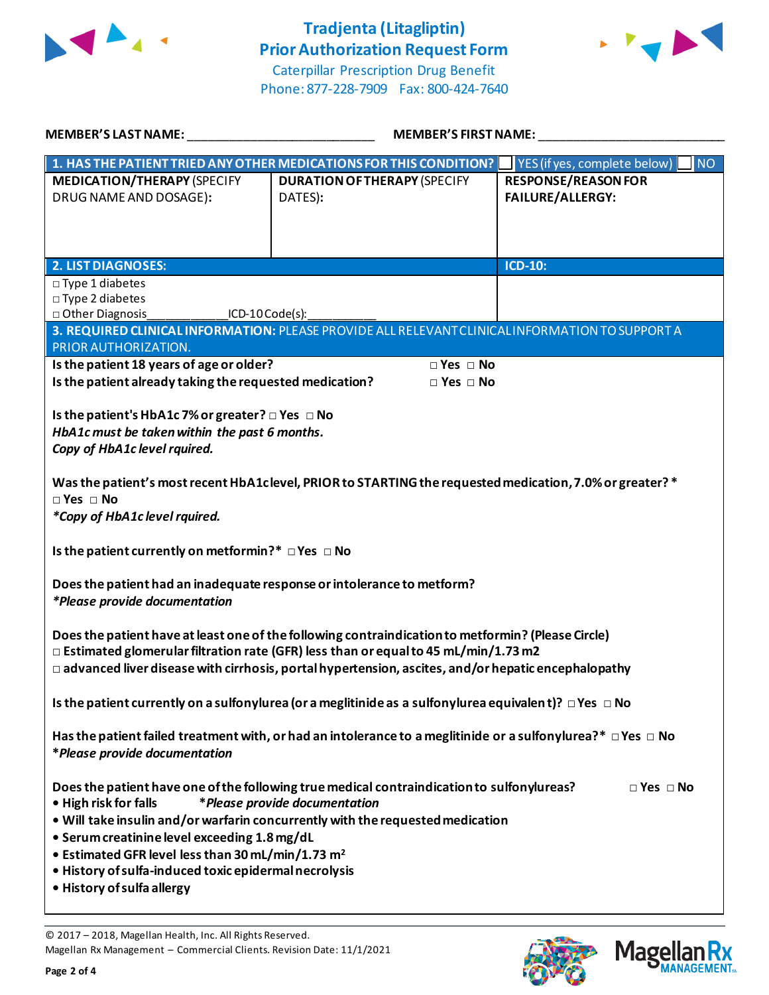

# **Tradjenta (Litagliptin) Prior Authorization Request Form**



Caterpillar Prescription Drug Benefit Phone: 877-228-7909 Fax: 800-424-7640

| <b>MEMBER'S LAST NAME:</b>                                                                                                                                                                                                                                                                                                                                                                                                                                             | <b>MEMBER'S FIRST NAME:</b>                                                                     |                                                                |  |  |
|------------------------------------------------------------------------------------------------------------------------------------------------------------------------------------------------------------------------------------------------------------------------------------------------------------------------------------------------------------------------------------------------------------------------------------------------------------------------|-------------------------------------------------------------------------------------------------|----------------------------------------------------------------|--|--|
|                                                                                                                                                                                                                                                                                                                                                                                                                                                                        | 1. HAS THE PATIENT TRIED ANY OTHER MEDICATIONS FOR THIS CONDITION?                              | $\sqrt{\frac{1}{1}}$ YES (if yes, complete below)<br><b>NO</b> |  |  |
| <b>MEDICATION/THERAPY (SPECIFY</b><br>DRUG NAME AND DOSAGE):                                                                                                                                                                                                                                                                                                                                                                                                           | <b>DURATION OF THERAPY (SPECIFY</b><br>DATES):                                                  | <b>RESPONSE/REASON FOR</b><br><b>FAILURE/ALLERGY:</b>          |  |  |
| <b>2. LIST DIAGNOSES:</b>                                                                                                                                                                                                                                                                                                                                                                                                                                              |                                                                                                 | ICD-10:                                                        |  |  |
| $\square$ Type 1 diabetes<br>□ Type 2 diabetes<br>□ Other Diagnosis<br>$ICD-10Code(s):$                                                                                                                                                                                                                                                                                                                                                                                |                                                                                                 |                                                                |  |  |
| PRIOR AUTHORIZATION.                                                                                                                                                                                                                                                                                                                                                                                                                                                   | 3. REQUIRED CLINICAL INFORMATION: PLEASE PROVIDE ALL RELEVANT CLINICAL INFORMATION TO SUPPORT A |                                                                |  |  |
| Is the patient 18 years of age or older?<br>$\Box$ Yes $\Box$ No<br>Is the patient already taking the requested medication?<br>$\Box$ Yes $\Box$ No<br>Is the patient's HbA1c 7% or greater? $\Box$ Yes $\Box$ No                                                                                                                                                                                                                                                      |                                                                                                 |                                                                |  |  |
| HbA1c must be taken within the past 6 months.<br>Copy of HbA1c level rquired.                                                                                                                                                                                                                                                                                                                                                                                          |                                                                                                 |                                                                |  |  |
| Was the patient's most recent HbA1clevel, PRIOR to STARTING the requested medication, 7.0% or greater? *<br>$\Box$ Yes $\Box$ No<br>*Copy of HbA1c level rquired.                                                                                                                                                                                                                                                                                                      |                                                                                                 |                                                                |  |  |
| Is the patient currently on metformin?* □ Yes □ No                                                                                                                                                                                                                                                                                                                                                                                                                     |                                                                                                 |                                                                |  |  |
| Does the patient had an inadequate response or intolerance to metform?<br>*Please provide documentation                                                                                                                                                                                                                                                                                                                                                                |                                                                                                 |                                                                |  |  |
| Does the patient have at least one of the following contraindication to metformin? (Please Circle)<br>$\Box$ Estimated glomerular filtration rate (GFR) less than or equal to 45 mL/min/1.73 m2<br>$\Box$ advanced liver disease with cirrhosis, portal hypertension, ascites, and/or hepatic encephalopathy                                                                                                                                                           |                                                                                                 |                                                                |  |  |
| Is the patient currently on a sulfonylurea (or a meglitinide as a sulfonylurea equivalent)? $\Box$ Yes $\Box$ No                                                                                                                                                                                                                                                                                                                                                       |                                                                                                 |                                                                |  |  |
| Has the patient failed treatment with, or had an intolerance to a meglitinide or a sulfonylurea?* $\Box$ Yes $\Box$ No<br>*Please provide documentation                                                                                                                                                                                                                                                                                                                |                                                                                                 |                                                                |  |  |
| Does the patient have one of the following true medical contraindication to sulfonylureas?<br>$\Box$ Yes $\Box$ No<br>*Please provide documentation<br>• High risk for falls<br>. Will take insulin and/or warfarin concurrently with the requested medication<br>• Serum creatinine level exceeding 1.8 mg/dL<br>• Estimated GFR level less than 30 mL/min/1.73 m <sup>2</sup><br>· History of sulfa-induced toxic epidermal necrolysis<br>• History of sulfa allergy |                                                                                                 |                                                                |  |  |

© 2017 – 2018, Magellan Health, Inc. All Rights Reserved. Magellan Rx Management – Commercial Clients. Revision Date: 11/1/2021



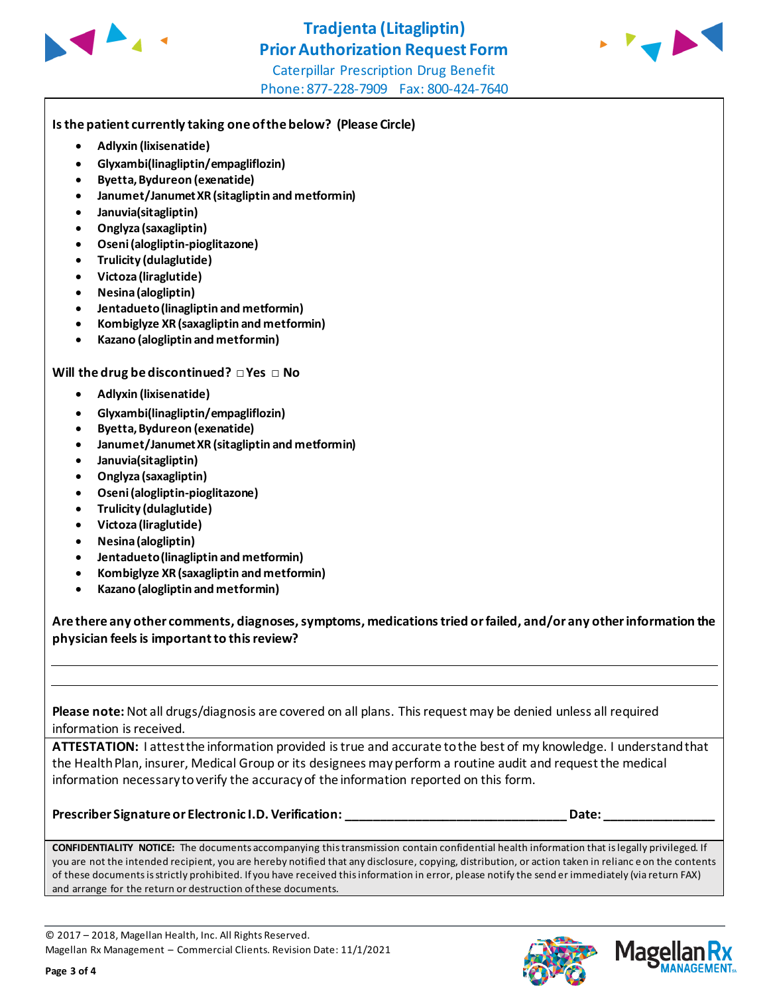



Caterpillar Prescription Drug Benefit Phone: 877-228-7909 Fax: 800-424-7640

### **Is the patient currently taking one of the below? (Please Circle)**

- **Adlyxin (lixisenatide)**
- **Glyxambi(linagliptin/empagliflozin)**
- **Byetta, Bydureon (exenatide)**
- **Janumet/Janumet XR (sitagliptin and metformin)**
- **Januvia(sitagliptin)**
- **Onglyza (saxagliptin)**
- **Oseni (alogliptin-pioglitazone)**
- **Trulicity (dulaglutide)**
- **Victoza (liraglutide)**
- **Nesina (alogliptin)**
- **Jentadueto(linagliptin and metformin)**
- **Kombiglyze XR (saxagliptin and metformin)**
- **Kazano (alogliptin and metformin)**

**Will the drug be discontinued? □ Yes □ No**

- **Adlyxin (lixisenatide)**
- **Glyxambi(linagliptin/empagliflozin)**
- **Byetta, Bydureon (exenatide)**
- **Janumet/Janumet XR (sitagliptin and metformin)**
- **Januvia(sitagliptin)**
- **Onglyza (saxagliptin)**
- **Oseni (alogliptin-pioglitazone)**
- **Trulicity (dulaglutide)**
- **Victoza (liraglutide)**
- **Nesina (alogliptin)**
- **Jentadueto (linagliptin and metformin)**
- **Kombiglyze XR (saxagliptin and metformin)**
- **Kazano (alogliptin and metformin)**

**Are there any other comments, diagnoses, symptoms, medications tried or failed, and/or any other information the physician feels is important to this review?**

**Please note:** Not all drugs/diagnosis are covered on all plans. This request may be denied unless all required information is received.

**ATTESTATION:** I attest the information provided is true and accurate to the best of my knowledge. I understand that the Health Plan, insurer, Medical Group or its designees may perform a routine audit and request the medical information necessary to verify the accuracy of the information reported on this form.

**Prescriber Signature or Electronic I.D. Verification: \_\_\_\_\_\_\_\_\_\_\_\_\_\_\_\_\_\_\_\_\_\_\_\_\_\_\_\_\_\_\_\_ Date: \_\_\_\_\_\_\_\_\_\_\_\_\_\_\_\_**

**CONFIDENTIALITY NOTICE:** The documents accompanying this transmission contain confidential health information that is legally privileged. If you are not the intended recipient, you are hereby notified that any disclosure, copying, distribution, or action taken in relianc e on the contents of these documents is strictly prohibited. If you have received this information in error, please notify the send er immediately (via return FAX) and arrange for the return or destruction of these documents.